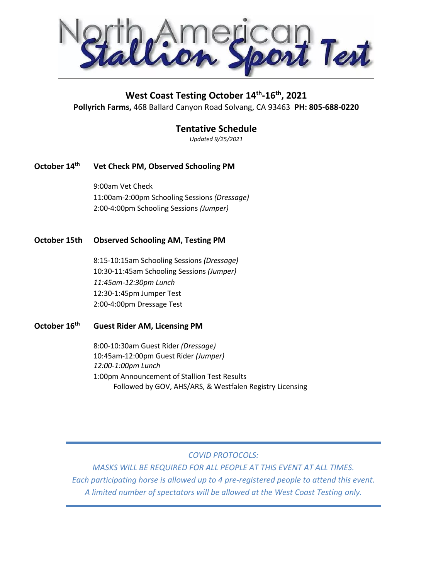Test

# **West Coast Testing October 14th -16th, 2021**

**Pollyrich Farms,** 468 Ballard Canyon Road Solvang, CA 93463 **PH: 805-688-0220**

## **Tentative Schedule**

*Updated 9/25/2021*

## **October 14th Vet Check PM, Observed Schooling PM**

9:00am Vet Check 11:00am-2:00pm Schooling Sessions *(Dressage)* 2:00-4:00pm Schooling Sessions *(Jumper)*

#### **October 15th Observed Schooling AM, Testing PM**

8:15-10:15am Schooling Sessions *(Dressage)* 10:30-11:45am Schooling Sessions *(Jumper) 11:45am-12:30pm Lunch* 12:30-1:45pm Jumper Test 2:00-4:00pm Dressage Test

### **October 16th Guest Rider AM, Licensing PM**

8:00-10:30am Guest Rider *(Dressage)* 10:45am-12:00pm Guest Rider *(Jumper) 12:00-1:00pm Lunch* 1:00pm Announcement of Stallion Test Results Followed by GOV, AHS/ARS, & Westfalen Registry Licensing

## *COVID PROTOCOLS:*

*MASKS WILL BE REQUIRED FOR ALL PEOPLE AT THIS EVENT AT ALL TIMES. Each participating horse is allowed up to 4 pre-registered people to attend this event. A limited number of spectators will be allowed at the West Coast Testing only.*